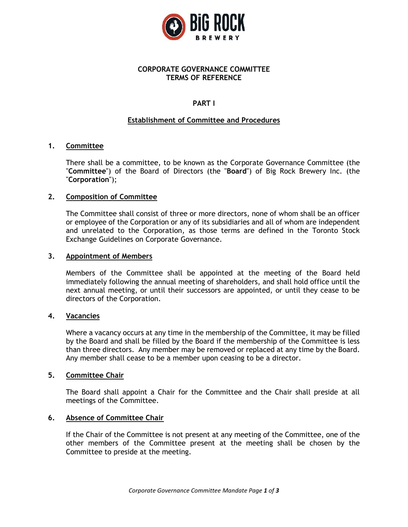

## **CORPORATE GOVERNANCE COMMITTEE TERMS OF REFERENCE**

# **PART I**

## **Establishment of Committee and Procedures**

## **1. Committee**

There shall be a committee, to be known as the Corporate Governance Committee (the "**Committee**") of the Board of Directors (the "**Board**") of Big Rock Brewery Inc. (the "**Corporation**");

## **2. Composition of Committee**

The Committee shall consist of three or more directors, none of whom shall be an officer or employee of the Corporation or any of its subsidiaries and all of whom are independent and unrelated to the Corporation, as those terms are defined in the Toronto Stock Exchange Guidelines on Corporate Governance.

## **3. Appointment of Members**

Members of the Committee shall be appointed at the meeting of the Board held immediately following the annual meeting of shareholders, and shall hold office until the next annual meeting, or until their successors are appointed, or until they cease to be directors of the Corporation.

## **4. Vacancies**

Where a vacancy occurs at any time in the membership of the Committee, it may be filled by the Board and shall be filled by the Board if the membership of the Committee is less than three directors. Any member may be removed or replaced at any time by the Board. Any member shall cease to be a member upon ceasing to be a director.

## **5. Committee Chair**

The Board shall appoint a Chair for the Committee and the Chair shall preside at all meetings of the Committee.

## **6. Absence of Committee Chair**

If the Chair of the Committee is not present at any meeting of the Committee, one of the other members of the Committee present at the meeting shall be chosen by the Committee to preside at the meeting.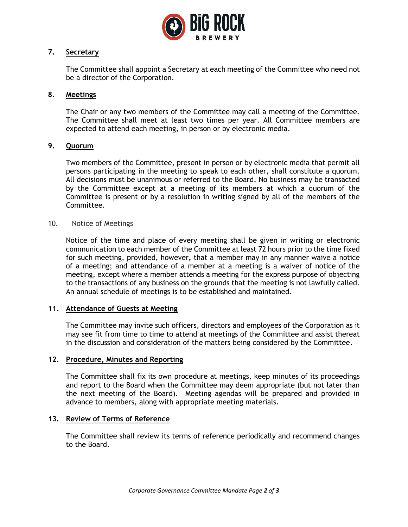

# **7. Secretary**

The Committee shall appoint a Secretary at each meeting of the Committee who need not be a director of the Corporation.

## **8. Meetings**

The Chair or any two members of the Committee may call a meeting of the Committee. The Committee shall meet at least two times per year. All Committee members are expected to attend each meeting, in person or by electronic media.

## **9. Quorum**

Two members of the Committee, present in person or by electronic media that permit all persons participating in the meeting to speak to each other, shall constitute a quorum. All decisions must be unanimous or referred to the Board. No business may be transacted by the Committee except at a meeting of its members at which a quorum of the Committee is present or by a resolution in writing signed by all of the members of the Committee.

## 10. Notice of Meetings

Notice of the time and place of every meeting shall be given in writing or electronic communication to each member of the Committee at least 72 hours prior to the time fixed for such meeting, provided, however**,** that a member may in any manner waive a notice of a meeting; and attendance of a member at a meeting is a waiver of notice of the meeting, except where a member attends a meeting for the express purpose of objecting to the transactions of any business on the grounds that the meeting is not lawfully called. An annual schedule of meetings is to be established and maintained.

## **11. Attendance of Guests at Meeting**

The Committee may invite such officers, directors and employees of the Corporation as it may see fit from time to time to attend at meetings of the Committee and assist thereat in the discussion and consideration of the matters being considered by the Committee.

## **12. Procedure, Minutes and Reporting**

The Committee shall fix its own procedure at meetings, keep minutes of its proceedings and report to the Board when the Committee may deem appropriate (but not later than the next meeting of the Board). Meeting agendas will be prepared and provided in advance to members, along with appropriate meeting materials.

## **13. Review of Terms of Reference**

The Committee shall review its terms of reference periodically and recommend changes to the Board.